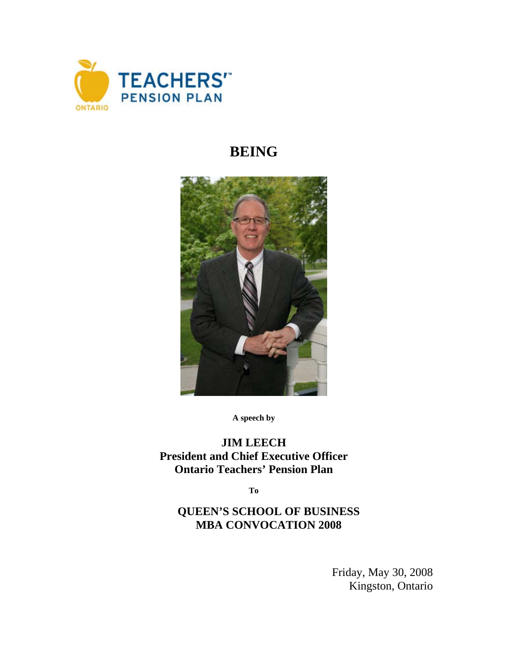

## **BEING**



**A speech by** 

## **JIM LEECH President and Chief Executive Officer Ontario Teachers' Pension Plan**

**To** 

## **QUEEN'S SCHOOL OF BUSINESS MBA CONVOCATION 2008**

Friday, May 30, 2008 Kingston, Ontario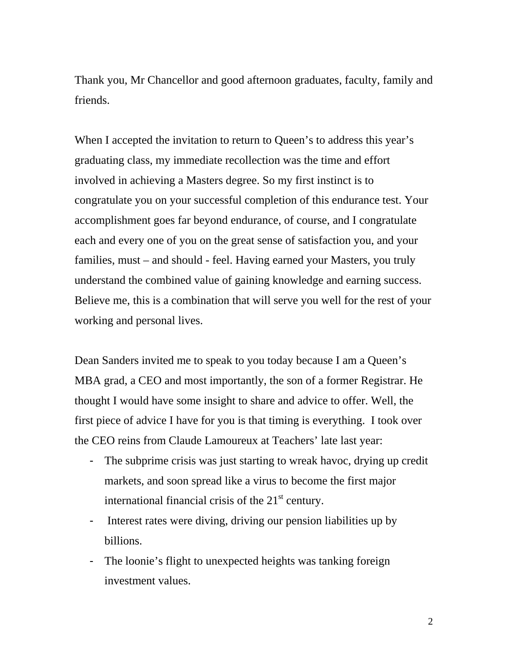Thank you, Mr Chancellor and good afternoon graduates, faculty, family and friends.

When I accepted the invitation to return to Queen's to address this year's graduating class, my immediate recollection was the time and effort involved in achieving a Masters degree. So my first instinct is to congratulate you on your successful completion of this endurance test. Your accomplishment goes far beyond endurance, of course, and I congratulate each and every one of you on the great sense of satisfaction you, and your families, must – and should - feel. Having earned your Masters, you truly understand the combined value of gaining knowledge and earning success. Believe me, this is a combination that will serve you well for the rest of your working and personal lives.

Dean Sanders invited me to speak to you today because I am a Queen's MBA grad, a CEO and most importantly, the son of a former Registrar. He thought I would have some insight to share and advice to offer. Well, the first piece of advice I have for you is that timing is everything. I took over the CEO reins from Claude Lamoureux at Teachers' late last year:

- The subprime crisis was just starting to wreak havoc, drying up credit markets, and soon spread like a virus to become the first major international financial crisis of the  $21<sup>st</sup>$  century.
- Interest rates were diving, driving our pension liabilities up by billions.
- The loonie's flight to unexpected heights was tanking foreign investment values.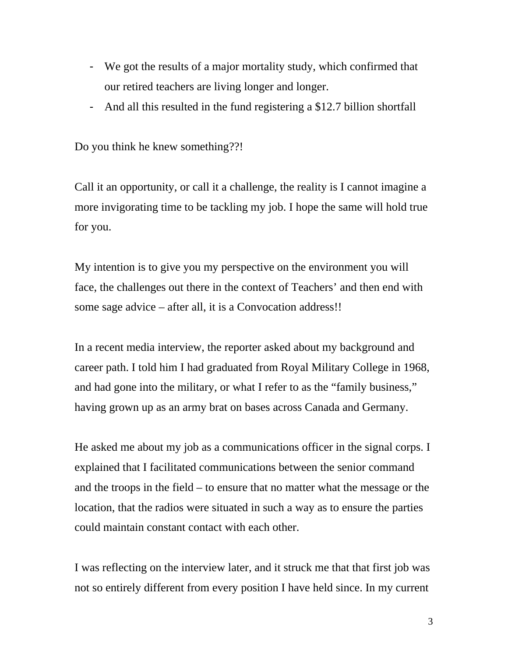- We got the results of a major mortality study, which confirmed that our retired teachers are living longer and longer.
- And all this resulted in the fund registering a \$12.7 billion shortfall

Do you think he knew something??!

Call it an opportunity, or call it a challenge, the reality is I cannot imagine a more invigorating time to be tackling my job. I hope the same will hold true for you.

My intention is to give you my perspective on the environment you will face, the challenges out there in the context of Teachers' and then end with some sage advice – after all, it is a Convocation address!!

In a recent media interview, the reporter asked about my background and career path. I told him I had graduated from Royal Military College in 1968, and had gone into the military, or what I refer to as the "family business," having grown up as an army brat on bases across Canada and Germany.

He asked me about my job as a communications officer in the signal corps. I explained that I facilitated communications between the senior command and the troops in the field – to ensure that no matter what the message or the location, that the radios were situated in such a way as to ensure the parties could maintain constant contact with each other.

I was reflecting on the interview later, and it struck me that that first job was not so entirely different from every position I have held since. In my current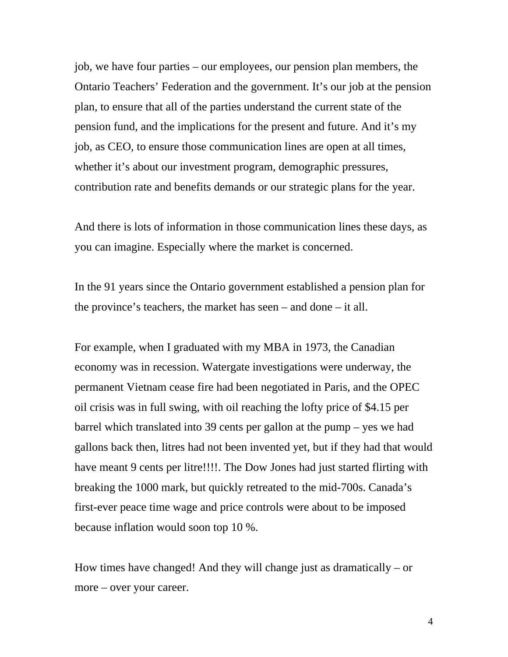job, we have four parties – our employees, our pension plan members, the Ontario Teachers' Federation and the government. It's our job at the pension plan, to ensure that all of the parties understand the current state of the pension fund, and the implications for the present and future. And it's my job, as CEO, to ensure those communication lines are open at all times, whether it's about our investment program, demographic pressures, contribution rate and benefits demands or our strategic plans for the year.

And there is lots of information in those communication lines these days, as you can imagine. Especially where the market is concerned.

In the 91 years since the Ontario government established a pension plan for the province's teachers, the market has seen – and done – it all.

For example, when I graduated with my MBA in 1973, the Canadian economy was in recession. Watergate investigations were underway, the permanent Vietnam cease fire had been negotiated in Paris, and the OPEC oil crisis was in full swing, with oil reaching the lofty price of \$4.15 per barrel which translated into 39 cents per gallon at the pump – yes we had gallons back then, litres had not been invented yet, but if they had that would have meant 9 cents per litre!!!!. The Dow Jones had just started flirting with breaking the 1000 mark, but quickly retreated to the mid-700s. Canada's first-ever peace time wage and price controls were about to be imposed because inflation would soon top 10 %.

How times have changed! And they will change just as dramatically – or more – over your career.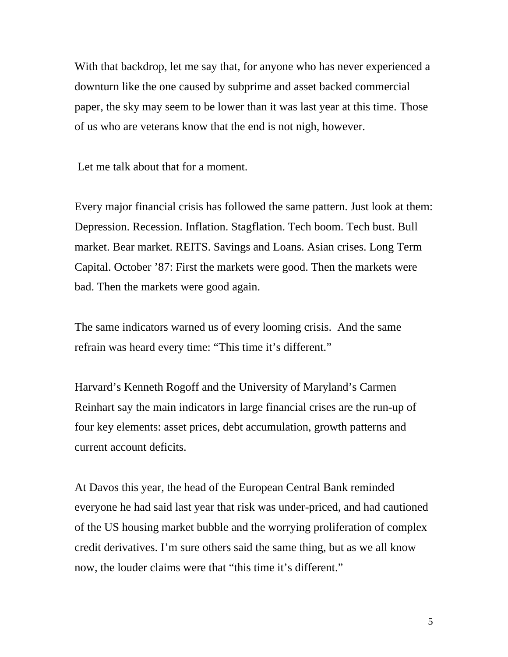With that backdrop, let me say that, for anyone who has never experienced a downturn like the one caused by subprime and asset backed commercial paper, the sky may seem to be lower than it was last year at this time. Those of us who are veterans know that the end is not nigh, however.

Let me talk about that for a moment.

Every major financial crisis has followed the same pattern. Just look at them: Depression. Recession. Inflation. Stagflation. Tech boom. Tech bust. Bull market. Bear market. REITS. Savings and Loans. Asian crises. Long Term Capital. October '87: First the markets were good. Then the markets were bad. Then the markets were good again.

The same indicators warned us of every looming crisis. And the same refrain was heard every time: "This time it's different."

Harvard's Kenneth Rogoff and the University of Maryland's Carmen Reinhart say the main indicators in large financial crises are the run-up of four key elements: asset prices, debt accumulation, growth patterns and current account deficits.

At Davos this year, the head of the European Central Bank reminded everyone he had said last year that risk was under-priced, and had cautioned of the US housing market bubble and the worrying proliferation of complex credit derivatives. I'm sure others said the same thing, but as we all know now, the louder claims were that "this time it's different."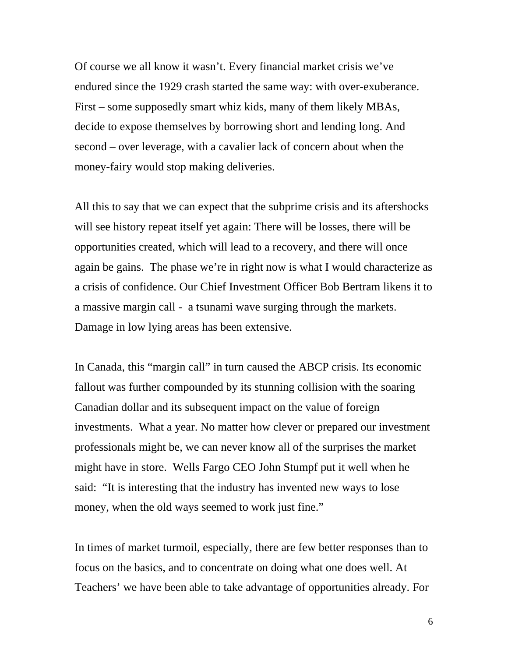Of course we all know it wasn't. Every financial market crisis we've endured since the 1929 crash started the same way: with over-exuberance. First – some supposedly smart whiz kids, many of them likely MBAs, decide to expose themselves by borrowing short and lending long. And second – over leverage, with a cavalier lack of concern about when the money-fairy would stop making deliveries.

All this to say that we can expect that the subprime crisis and its aftershocks will see history repeat itself yet again: There will be losses, there will be opportunities created, which will lead to a recovery, and there will once again be gains. The phase we're in right now is what I would characterize as a crisis of confidence. Our Chief Investment Officer Bob Bertram likens it to a massive margin call - a tsunami wave surging through the markets. Damage in low lying areas has been extensive.

In Canada, this "margin call" in turn caused the ABCP crisis. Its economic fallout was further compounded by its stunning collision with the soaring Canadian dollar and its subsequent impact on the value of foreign investments. What a year. No matter how clever or prepared our investment professionals might be, we can never know all of the surprises the market might have in store. Wells Fargo CEO John Stumpf put it well when he said: "It is interesting that the industry has invented new ways to lose money, when the old ways seemed to work just fine."

In times of market turmoil, especially, there are few better responses than to focus on the basics, and to concentrate on doing what one does well. At Teachers' we have been able to take advantage of opportunities already. For

6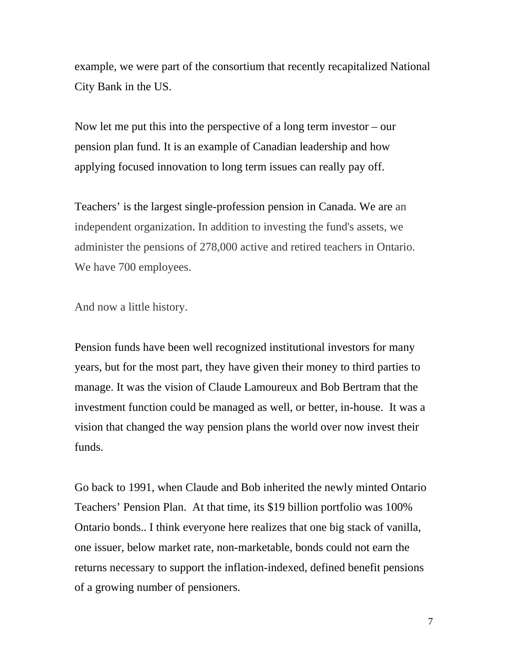example, we were part of the consortium that recently recapitalized National City Bank in the US.

Now let me put this into the perspective of a long term investor  $-\text{our}$ pension plan fund. It is an example of Canadian leadership and how applying focused innovation to long term issues can really pay off.

Teachers' is the largest single-profession pension in Canada. We are an independent organization. In addition to investing the fund's assets, we administer the pensions of 278,000 active and retired teachers in Ontario. We have 700 employees.

And now a little history.

Pension funds have been well recognized institutional investors for many years, but for the most part, they have given their money to third parties to manage. It was the vision of Claude Lamoureux and Bob Bertram that the investment function could be managed as well, or better, in-house. It was a vision that changed the way pension plans the world over now invest their funds.

Go back to 1991, when Claude and Bob inherited the newly minted Ontario Teachers' Pension Plan. At that time, its \$19 billion portfolio was 100% Ontario bonds.. I think everyone here realizes that one big stack of vanilla, one issuer, below market rate, non-marketable, bonds could not earn the returns necessary to support the inflation-indexed, defined benefit pensions of a growing number of pensioners.

7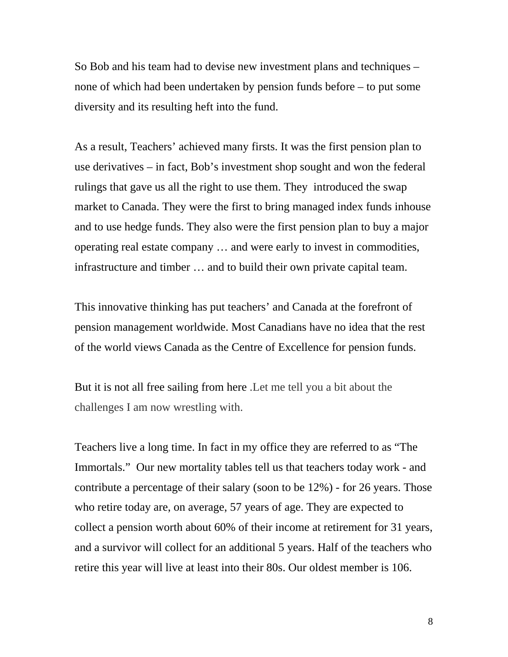So Bob and his team had to devise new investment plans and techniques – none of which had been undertaken by pension funds before – to put some diversity and its resulting heft into the fund.

As a result, Teachers' achieved many firsts. It was the first pension plan to use derivatives – in fact, Bob's investment shop sought and won the federal rulings that gave us all the right to use them. They introduced the swap market to Canada. They were the first to bring managed index funds inhouse and to use hedge funds. They also were the first pension plan to buy a major operating real estate company … and were early to invest in commodities, infrastructure and timber … and to build their own private capital team.

This innovative thinking has put teachers' and Canada at the forefront of pension management worldwide. Most Canadians have no idea that the rest of the world views Canada as the Centre of Excellence for pension funds.

But it is not all free sailing from here .Let me tell you a bit about the challenges I am now wrestling with.

Teachers live a long time. In fact in my office they are referred to as "The Immortals." Our new mortality tables tell us that teachers today work - and contribute a percentage of their salary (soon to be 12%) - for 26 years. Those who retire today are, on average, 57 years of age. They are expected to collect a pension worth about 60% of their income at retirement for 31 years, and a survivor will collect for an additional 5 years. Half of the teachers who retire this year will live at least into their 80s. Our oldest member is 106.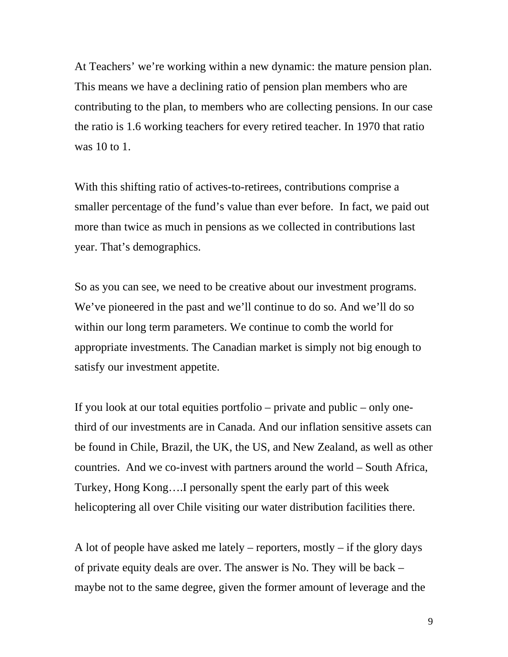At Teachers' we're working within a new dynamic: the mature pension plan. This means we have a declining ratio of pension plan members who are contributing to the plan, to members who are collecting pensions. In our case the ratio is 1.6 working teachers for every retired teacher. In 1970 that ratio was 10 to 1.

With this shifting ratio of actives-to-retirees, contributions comprise a smaller percentage of the fund's value than ever before. In fact, we paid out more than twice as much in pensions as we collected in contributions last year. That's demographics.

So as you can see, we need to be creative about our investment programs. We've pioneered in the past and we'll continue to do so. And we'll do so within our long term parameters. We continue to comb the world for appropriate investments. The Canadian market is simply not big enough to satisfy our investment appetite.

If you look at our total equities portfolio – private and public – only onethird of our investments are in Canada. And our inflation sensitive assets can be found in Chile, Brazil, the UK, the US, and New Zealand, as well as other countries. And we co-invest with partners around the world – South Africa, Turkey, Hong Kong….I personally spent the early part of this week helicoptering all over Chile visiting our water distribution facilities there.

A lot of people have asked me lately – reporters, mostly – if the glory days of private equity deals are over. The answer is No. They will be back – maybe not to the same degree, given the former amount of leverage and the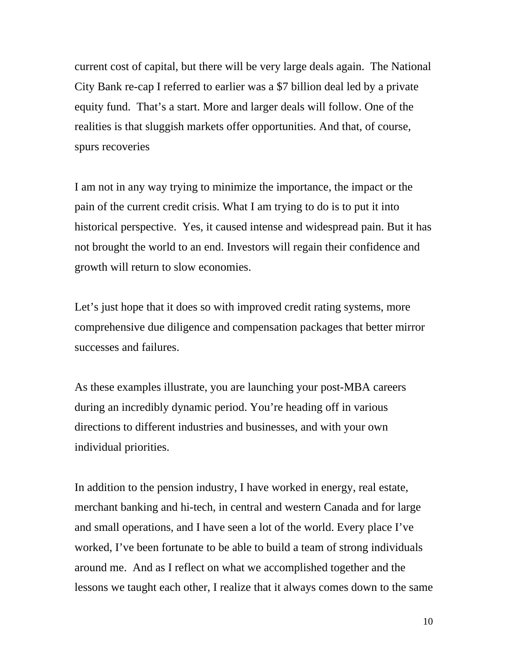current cost of capital, but there will be very large deals again. The National City Bank re-cap I referred to earlier was a \$7 billion deal led by a private equity fund. That's a start. More and larger deals will follow. One of the realities is that sluggish markets offer opportunities. And that, of course, spurs recoveries

I am not in any way trying to minimize the importance, the impact or the pain of the current credit crisis. What I am trying to do is to put it into historical perspective. Yes, it caused intense and widespread pain. But it has not brought the world to an end. Investors will regain their confidence and growth will return to slow economies.

Let's just hope that it does so with improved credit rating systems, more comprehensive due diligence and compensation packages that better mirror successes and failures.

As these examples illustrate, you are launching your post-MBA careers during an incredibly dynamic period. You're heading off in various directions to different industries and businesses, and with your own individual priorities.

In addition to the pension industry, I have worked in energy, real estate, merchant banking and hi-tech, in central and western Canada and for large and small operations, and I have seen a lot of the world. Every place I've worked, I've been fortunate to be able to build a team of strong individuals around me. And as I reflect on what we accomplished together and the lessons we taught each other, I realize that it always comes down to the same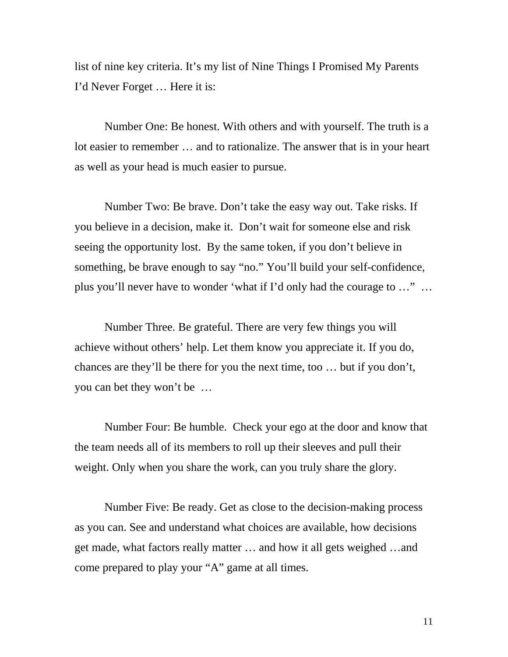list of nine key criteria. It's my list of Nine Things I Promised My Parents I'd Never Forget … Here it is:

Number One: Be honest. With others and with yourself. The truth is a lot easier to remember … and to rationalize. The answer that is in your heart as well as your head is much easier to pursue.

Number Two: Be brave. Don't take the easy way out. Take risks. If you believe in a decision, make it. Don't wait for someone else and risk seeing the opportunity lost. By the same token, if you don't believe in something, be brave enough to say "no." You'll build your self-confidence, plus you'll never have to wonder 'what if I'd only had the courage to …" …

Number Three. Be grateful. There are very few things you will achieve without others' help. Let them know you appreciate it. If you do, chances are they'll be there for you the next time, too … but if you don't, you can bet they won't be …

Number Four: Be humble. Check your ego at the door and know that the team needs all of its members to roll up their sleeves and pull their weight. Only when you share the work, can you truly share the glory.

Number Five: Be ready. Get as close to the decision-making process as you can. See and understand what choices are available, how decisions get made, what factors really matter … and how it all gets weighed …and come prepared to play your "A" game at all times.